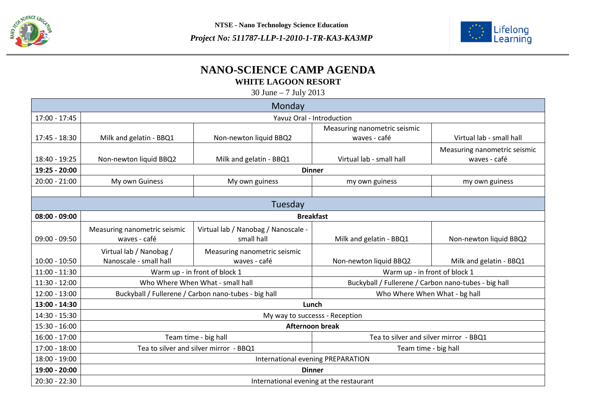



## **NANO-SCIENCE CAMP AGENDA WHITE LAGOON RESORT**

30 June – 7 July 2013

| Monday          |                                                      |                                     |                                                      |                              |  |  |  |
|-----------------|------------------------------------------------------|-------------------------------------|------------------------------------------------------|------------------------------|--|--|--|
| $17:00 - 17:45$ | Yavuz Oral - Introduction                            |                                     |                                                      |                              |  |  |  |
|                 |                                                      |                                     | Measuring nanometric seismic                         |                              |  |  |  |
| 17:45 - 18:30   | Milk and gelatin - BBQ1                              | Non-newton liquid BBQ2              | waves - café                                         | Virtual lab - small hall     |  |  |  |
|                 |                                                      |                                     |                                                      | Measuring nanometric seismic |  |  |  |
| 18:40 - 19:25   | Non-newton liquid BBQ2                               | Milk and gelatin - BBQ1             | Virtual lab - small hall                             | waves - café                 |  |  |  |
| 19:25 - 20:00   | <b>Dinner</b>                                        |                                     |                                                      |                              |  |  |  |
| $20:00 - 21:00$ | My own Guiness                                       | My own guiness                      | my own guiness                                       | my own guiness               |  |  |  |
|                 |                                                      |                                     |                                                      |                              |  |  |  |
| Tuesday         |                                                      |                                     |                                                      |                              |  |  |  |
| $08:00 - 09:00$ | <b>Breakfast</b>                                     |                                     |                                                      |                              |  |  |  |
|                 | Measuring nanometric seismic                         | Virtual lab / Nanobag / Nanoscale - |                                                      |                              |  |  |  |
| $09:00 - 09:50$ | waves - café                                         | small hall                          | Milk and gelatin - BBQ1                              | Non-newton liquid BBQ2       |  |  |  |
|                 | Virtual lab / Nanobag /                              | Measuring nanometric seismic        |                                                      |                              |  |  |  |
| $10:00 - 10:50$ | Nanoscale - small hall                               | waves - café                        | Non-newton liquid BBQ2                               | Milk and gelatin - BBQ1      |  |  |  |
| $11:00 - 11:30$ | Warm up - in front of block 1                        |                                     | Warm up - in front of block 1                        |                              |  |  |  |
| $11:30 - 12:00$ | Who Where When What - small hall                     |                                     | Buckyball / Fullerene / Carbon nano-tubes - big hall |                              |  |  |  |
| $12:00 - 13:00$ | Buckyball / Fullerene / Carbon nano-tubes - big hall |                                     | Who Where When What - bg hall                        |                              |  |  |  |
| 13:00 - 14:30   | Lunch                                                |                                     |                                                      |                              |  |  |  |
| 14:30 - 15:30   | My way to successs - Reception                       |                                     |                                                      |                              |  |  |  |
| $15:30 - 16:00$ | <b>Afternoon break</b>                               |                                     |                                                      |                              |  |  |  |
| $16:00 - 17:00$ | Team time - big hall                                 |                                     | Tea to silver and silver mirror - BBQ1               |                              |  |  |  |
| 17:00 - 18:00   | Tea to silver and silver mirror - BBQ1               |                                     | Team time - big hall                                 |                              |  |  |  |
| 18:00 - 19:00   | International evening PREPARATION                    |                                     |                                                      |                              |  |  |  |
| 19:00 - 20:00   | <b>Dinner</b>                                        |                                     |                                                      |                              |  |  |  |
| $20:30 - 22:30$ | International evening at the restaurant              |                                     |                                                      |                              |  |  |  |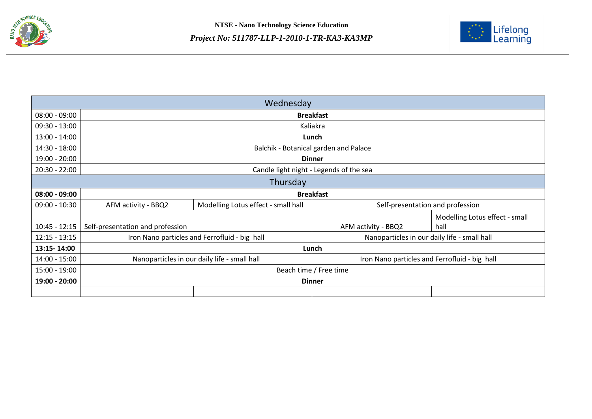



| Wednesday       |                                               |                                     |                                               |                                        |  |  |  |
|-----------------|-----------------------------------------------|-------------------------------------|-----------------------------------------------|----------------------------------------|--|--|--|
| $08:00 - 09:00$ | <b>Breakfast</b>                              |                                     |                                               |                                        |  |  |  |
| $09:30 - 13:00$ | Kaliakra                                      |                                     |                                               |                                        |  |  |  |
| $13:00 - 14:00$ | Lunch                                         |                                     |                                               |                                        |  |  |  |
| 14:30 - 18:00   | Balchik - Botanical garden and Palace         |                                     |                                               |                                        |  |  |  |
| 19:00 - 20:00   | <b>Dinner</b>                                 |                                     |                                               |                                        |  |  |  |
| $20:30 - 22:00$ | Candle light night - Legends of the sea       |                                     |                                               |                                        |  |  |  |
| Thursday        |                                               |                                     |                                               |                                        |  |  |  |
| $08:00 - 09:00$ | <b>Breakfast</b>                              |                                     |                                               |                                        |  |  |  |
| $09:00 - 10:30$ | AFM activity - BBQ2                           | Modelling Lotus effect - small hall | Self-presentation and profession              |                                        |  |  |  |
| $10:45 - 12:15$ | Self-presentation and profession              |                                     | AFM activity - BBQ2                           | Modelling Lotus effect - small<br>hall |  |  |  |
| $12:15 - 13:15$ | Iron Nano particles and Ferrofluid - big hall |                                     | Nanoparticles in our daily life - small hall  |                                        |  |  |  |
| 13:15-14:00     | Lunch                                         |                                     |                                               |                                        |  |  |  |
| $14:00 - 15:00$ | Nanoparticles in our daily life - small hall  |                                     | Iron Nano particles and Ferrofluid - big hall |                                        |  |  |  |
| $15:00 - 19:00$ | Beach time / Free time                        |                                     |                                               |                                        |  |  |  |
| 19:00 - 20:00   | <b>Dinner</b>                                 |                                     |                                               |                                        |  |  |  |
|                 |                                               |                                     |                                               |                                        |  |  |  |